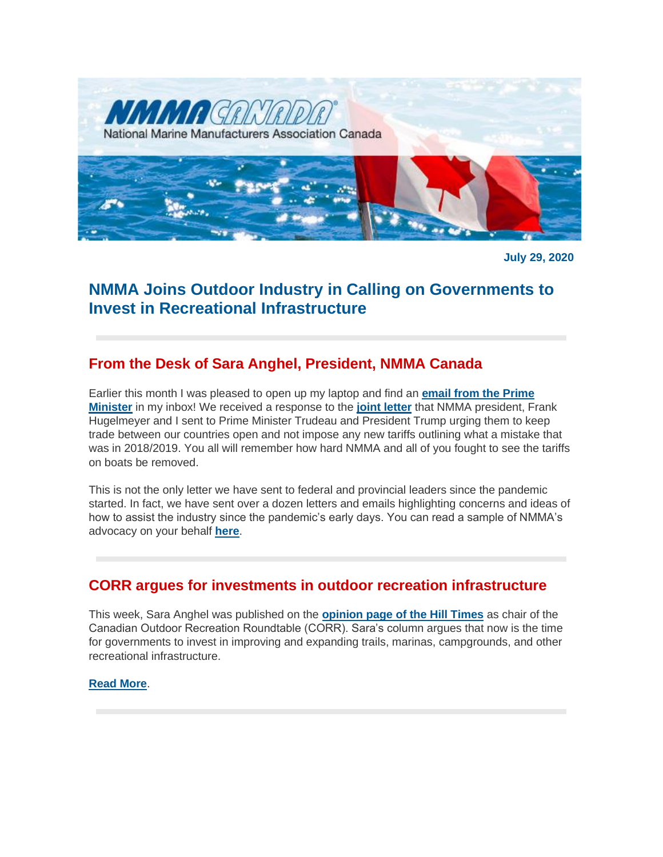

**July 29, 2020**

# **NMMA Joins Outdoor Industry in Calling on Governments to Invest in Recreational Infrastructure**

# **From the Desk of Sara Anghel, President, NMMA Canada**

Earlier this month I was pleased to open up my laptop and find an **[email from the Prime](http://nmma.net/assets/cabinets/Cabinet486/PM%20Response%20National%20Marine%20Manufacturers%20Association%20and%20NMMA%20Canada.pdf)  [Minister](http://nmma.net/assets/cabinets/Cabinet486/PM%20Response%20National%20Marine%20Manufacturers%20Association%20and%20NMMA%20Canada.pdf)** in my inbox! We received a response to the **[joint letter](http://nmma.net/assets/cabinets/Cabinet486/Recreational_Boating_Industry_letter_regarding_Tariffs_to_President__Prr.pdf)** that NMMA president, Frank Hugelmeyer and I sent to Prime Minister Trudeau and President Trump urging them to keep trade between our countries open and not impose any new tariffs outlining what a mistake that was in 2018/2019. You all will remember how hard NMMA and all of you fought to see the tariffs on boats be removed.

This is not the only letter we have sent to federal and provincial leaders since the pandemic started. In fact, we have sent over a dozen letters and emails highlighting concerns and ideas of how to assist the industry since the pandemic's early days. You can read a sample of NMMA's advocacy on your behalf **[here](http://nmma.net/assets/cabinets/Cabinet486/NMMA%20Canada%20Advocacy%20Letters%20-%20March%20to%20June%202020.pdf)**.

## **CORR argues for investments in outdoor recreation infrastructure**

This week, Sara Anghel was published on the **[opinion page of the Hill Times](https://www.hilltimes.com/2020/07/22/now-is-the-time-to-invest-in-renewing-canadas-outdoor-recreation-infrastructure/256909)** as chair of the Canadian Outdoor Recreation Roundtable (CORR). Sara's column argues that now is the time for governments to invest in improving and expanding trails, marinas, campgrounds, and other recreational infrastructure.

**[Read More](http://www.nmma.ca/press/article/23349)**.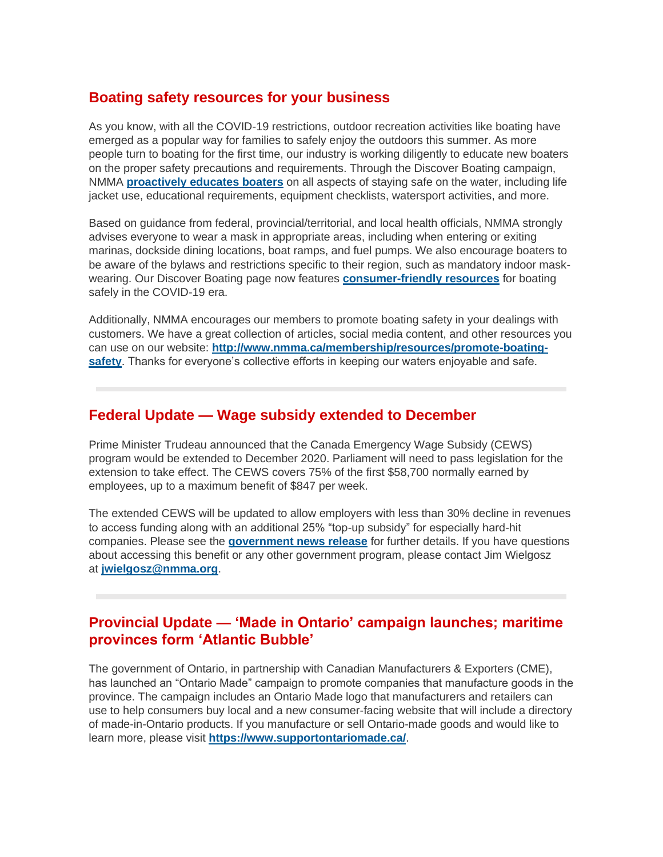#### **Boating safety resources for your business**

As you know, with all the COVID-19 restrictions, outdoor recreation activities like boating have emerged as a popular way for families to safely enjoy the outdoors this summer. As more people turn to boating for the first time, our industry is working diligently to educate new boaters on the proper safety precautions and requirements. Through the Discover Boating campaign, NMMA **[proactively educates boaters](https://www.discoverboating.ca/beginner/safety.aspx)** on all aspects of staying safe on the water, including life jacket use, educational requirements, equipment checklists, watersport activities, and more.

Based on guidance from federal, provincial/territorial, and local health officials, NMMA strongly advises everyone to wear a mask in appropriate areas, including when entering or exiting marinas, dockside dining locations, boat ramps, and fuel pumps. We also encourage boaters to be aware of the bylaws and restrictions specific to their region, such as mandatory indoor maskwearing. Our Discover Boating page now features **[consumer-friendly resources](https://www.discoverboating.ca/resources/article.aspx?id=834)** for boating safely in the COVID-19 era.

Additionally, NMMA encourages our members to promote boating safety in your dealings with customers. We have a great collection of articles, social media content, and other resources you can use on our website: **[http://www.nmma.ca/membership/resources/promote-boating](http://www.nmma.ca/membership/resources/promote-boating-safety)[safety](http://www.nmma.ca/membership/resources/promote-boating-safety)**. Thanks for everyone's collective efforts in keeping our waters enjoyable and safe.

### **Federal Update — Wage subsidy extended to December**

Prime Minister Trudeau announced that the Canada Emergency Wage Subsidy (CEWS) program would be extended to December 2020. Parliament will need to pass legislation for the extension to take effect. The CEWS covers 75% of the first \$58,700 normally earned by employees, up to a maximum benefit of \$847 per week.

The extended CEWS will be updated to allow employers with less than 30% decline in revenues to access funding along with an additional 25% "top-up subsidy" for especially hard-hit companies. Please see the **[government news release](https://www.canada.ca/en/department-finance/news/2020/07/supporting-canadian-workers-and-businesses-with-a-redesigned-canada-emergency-wage-subsidy.html)** for further details. If you have questions about accessing this benefit or any other government program, please contact Jim Wielgosz at **[jwielgosz@nmma.org](mailto:jwielgosz@nmma.org)**.

#### **Provincial Update — 'Made in Ontario' campaign launches; maritime provinces form 'Atlantic Bubble'**

The government of Ontario, in partnership with Canadian Manufacturers & Exporters (CME), has launched an "Ontario Made" campaign to promote companies that manufacture goods in the province. The campaign includes an Ontario Made logo that manufacturers and retailers can use to help consumers buy local and a new consumer-facing website that will include a directory of made-in-Ontario products. If you manufacture or sell Ontario-made goods and would like to learn more, please visit **<https://www.supportontariomade.ca/>**.